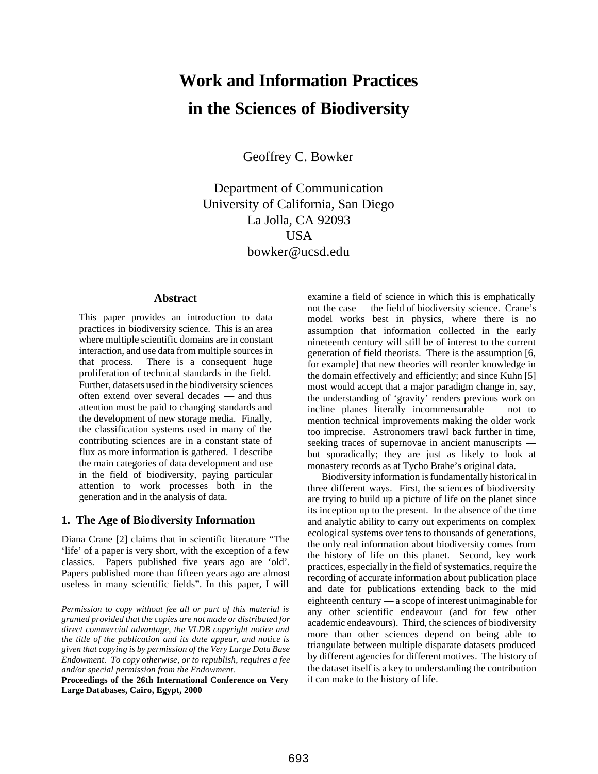# **Work and Information Practices in the Sciences of Biodiversity**

Geoffrey C. Bowker

Department of Communication University of California, San Diego La Jolla, CA 92093 USA bowker@ucsd.edu

## **Abstract**

This paper provides an introduction to data practices in biodiversity science. This is an area where multiple scientific domains are in constant interaction, and use data from multiple sources in that process. There is a consequent huge proliferation of technical standards in the field. Further, datasets used in the biodiversity sciences often extend over several decades — and thus attention must be paid to changing standards and the development of new storage media. Finally, the classification systems used in many of the contributing sciences are in a constant state of flux as more information is gathered. I describe the main categories of data development and use in the field of biodiversity, paying particular attention to work processes both in the generation and in the analysis of data.

### **1. The Age of Biodiversity Information**

Diana Crane [2] claims that in scientific literature "The 'life' of a paper is very short, with the exception of a few classics. Papers published five years ago are 'old'. Papers published more than fifteen years ago are almost useless in many scientific fields". In this paper, I will

examine a field of science in which this is emphatically not the case — the field of biodiversity science. Crane's model works best in physics, where there is no assumption that information collected in the early nineteenth century will still be of interest to the current generation of field theorists. There is the assumption [6, for example] that new theories will reorder knowledge in the domain effectively and efficiently; and since Kuhn [5] most would accept that a major paradigm change in, say, the understanding of 'gravity' renders previous work on incline planes literally incommensurable — not to mention technical improvements making the older work too imprecise. Astronomers trawl back further in time, seeking traces of supernovae in ancient manuscripts but sporadically; they are just as likely to look at monastery records as at Tycho Brahe's original data.

Biodiversity information is fundamentally historical in three different ways. First, the sciences of biodiversity are trying to build up a picture of life on the planet since its inception up to the present. In the absence of the time and analytic ability to carry out experiments on complex ecological systems over tens to thousands of generations, the only real information about biodiversity comes from the history of life on this planet. Second, key work practices, especially in the field of systematics, require the recording of accurate information about publication place and date for publications extending back to the mid eighteenth century — a scope of interest unimaginable for any other scientific endeavour (and for few other academic endeavours). Third, the sciences of biodiversity more than other sciences depend on being able to triangulate between multiple disparate datasets produced by different agencies for different motives. The history of the dataset itself is a key to understanding the contribution it can make to the history of life.

*Permission to copy without fee all or part of this material is granted provided that the copies are not made or distributed for direct commercial advantage, the VLDB copyright notice and the title of the publication and its date appear, and notice is given that copying is by permission of the Very Large Data Base Endowment. To copy otherwise, or to republish, requires a fee and/or special permission from the Endowment.*

**Proceedings of the 26th International Conference on Very Large Databases, Cairo, Egypt, 2000**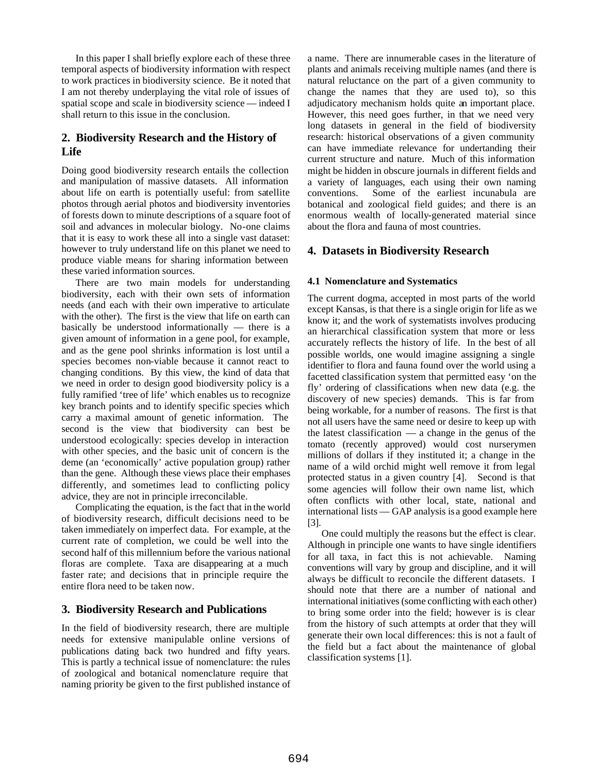In this paper I shall briefly explore each of these three temporal aspects of biodiversity information with respect to work practices in biodiversity science. Be it noted that I am not thereby underplaying the vital role of issues of spatial scope and scale in biodiversity science — indeed I shall return to this issue in the conclusion.

# **2. Biodiversity Research and the History of Life**

Doing good biodiversity research entails the collection and manipulation of massive datasets. All information about life on earth is potentially useful: from satellite photos through aerial photos and biodiversity inventories of forests down to minute descriptions of a square foot of soil and advances in molecular biology. No-one claims that it is easy to work these all into a single vast dataset: however to truly understand life on this planet we need to produce viable means for sharing information between these varied information sources.

There are two main models for understanding biodiversity, each with their own sets of information needs (and each with their own imperative to articulate with the other). The first is the view that life on earth can basically be understood informationally — there is a given amount of information in a gene pool, for example, and as the gene pool shrinks information is lost until a species becomes non-viable because it cannot react to changing conditions. By this view, the kind of data that we need in order to design good biodiversity policy is a fully ramified 'tree of life' which enables us to recognize key branch points and to identify specific species which carry a maximal amount of genetic information. The second is the view that biodiversity can best be understood ecologically: species develop in interaction with other species, and the basic unit of concern is the deme (an 'economically' active population group) rather than the gene. Although these views place their emphases differently, and sometimes lead to conflicting policy advice, they are not in principle irreconcilable.

Complicating the equation, is the fact that in the world of biodiversity research, difficult decisions need to be taken immediately on imperfect data. For example, at the current rate of completion, we could be well into the second half of this millennium before the various national floras are complete. Taxa are disappearing at a much faster rate; and decisions that in principle require the entire flora need to be taken now.

# **3. Biodiversity Research and Publications**

In the field of biodiversity research, there are multiple needs for extensive manipulable online versions of publications dating back two hundred and fifty years. This is partly a technical issue of nomenclature: the rules of zoological and botanical nomenclature require that naming priority be given to the first published instance of a name. There are innumerable cases in the literature of plants and animals receiving multiple names (and there is natural reluctance on the part of a given community to change the names that they are used to), so this adjudicatory mechanism holds quite an important place. However, this need goes further, in that we need very long datasets in general in the field of biodiversity research: historical observations of a given community can have immediate relevance for undertanding their current structure and nature. Much of this information might be hidden in obscure journals in different fields and a variety of languages, each using their own naming conventions. Some of the earliest incunabula are botanical and zoological field guides; and there is an enormous wealth of locally-generated material since about the flora and fauna of most countries.

# **4. Datasets in Biodiversity Research**

#### **4.1 Nomenclature and Systematics**

The current dogma, accepted in most parts of the world except Kansas, is that there is a single origin for life as we know it; and the work of systematists involves producing an hierarchical classification system that more or less accurately reflects the history of life. In the best of all possible worlds, one would imagine assigning a single identifier to flora and fauna found over the world using a facetted classification system that permitted easy 'on the fly' ordering of classifications when new data (e.g. the discovery of new species) demands. This is far from being workable, for a number of reasons. The first is that not all users have the same need or desire to keep up with the latest classification — a change in the genus of the tomato (recently approved) would cost nurserymen millions of dollars if they instituted it; a change in the name of a wild orchid might well remove it from legal protected status in a given country [4]. Second is that some agencies will follow their own name list, which often conflicts with other local, state, national and international lists — GAP analysis is a good example here  $|3|$ .

One could multiply the reasons but the effect is clear. Although in principle one wants to have single identifiers for all taxa, in fact this is not achievable. Naming conventions will vary by group and discipline, and it will always be difficult to reconcile the different datasets. I should note that there are a number of national and international initiatives (some conflicting with each other) to bring some order into the field; however is is clear from the history of such attempts at order that they will generate their own local differences: this is not a fault of the field but a fact about the maintenance of global classification systems [1].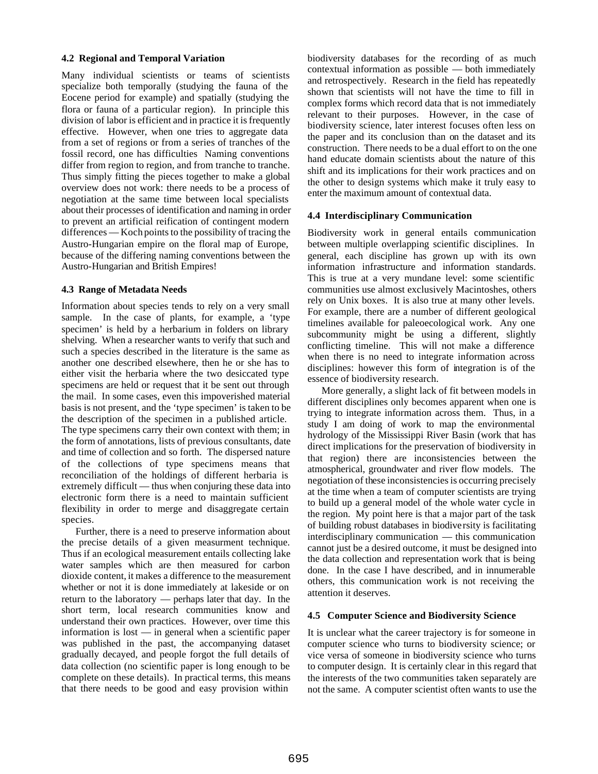#### **4.2 Regional and Temporal Variation**

Many individual scientists or teams of scientists specialize both temporally (studying the fauna of the Eocene period for example) and spatially (studying the flora or fauna of a particular region). In principle this division of labor is efficient and in practice it is frequently effective. However, when one tries to aggregate data from a set of regions or from a series of tranches of the fossil record, one has difficulties Naming conventions differ from region to region, and from tranche to tranche. Thus simply fitting the pieces together to make a global overview does not work: there needs to be a process of negotiation at the same time between local specialists about their processes of identification and naming in order to prevent an artificial reification of contingent modern differences — Koch points to the possibility of tracing the Austro-Hungarian empire on the floral map of Europe, because of the differing naming conventions between the Austro-Hungarian and British Empires!

## **4.3 Range of Metadata Needs**

Information about species tends to rely on a very small sample. In the case of plants, for example, a 'type specimen' is held by a herbarium in folders on library shelving. When a researcher wants to verify that such and such a species described in the literature is the same as another one described elsewhere, then he or she has to either visit the herbaria where the two desiccated type specimens are held or request that it be sent out through the mail. In some cases, even this impoverished material basis is not present, and the 'type specimen' is taken to be the description of the specimen in a published article. The type specimens carry their own context with them; in the form of annotations, lists of previous consultants, date and time of collection and so forth. The dispersed nature of the collections of type specimens means that reconciliation of the holdings of different herbaria is extremely difficult — thus when conjuring these data into electronic form there is a need to maintain sufficient flexibility in order to merge and disaggregate certain species.

Further, there is a need to preserve information about the precise details of a given measurment technique. Thus if an ecological measurement entails collecting lake water samples which are then measured for carbon dioxide content, it makes a difference to the measurement whether or not it is done immediately at lakeside or on return to the laboratory — perhaps later that day. In the short term, local research communities know and understand their own practices. However, over time this information is lost — in general when a scientific paper was published in the past, the accompanying dataset gradually decayed, and people forgot the full details of data collection (no scientific paper is long enough to be complete on these details). In practical terms, this means that there needs to be good and easy provision within

biodiversity databases for the recording of as much contextual information as possible — both immediately and retrospectively. Research in the field has repeatedly shown that scientists will not have the time to fill in complex forms which record data that is not immediately relevant to their purposes. However, in the case of biodiversity science, later interest focuses often less on the paper and its conclusion than on the dataset and its construction. There needs to be a dual effort to on the one hand educate domain scientists about the nature of this shift and its implications for their work practices and on the other to design systems which make it truly easy to enter the maximum amount of contextual data.

## **4.4 Interdisciplinary Communication**

Biodiversity work in general entails communication between multiple overlapping scientific disciplines. In general, each discipline has grown up with its own information infrastructure and information standards. This is true at a very mundane level: some scientific communities use almost exclusively Macintoshes, others rely on Unix boxes. It is also true at many other levels. For example, there are a number of different geological timelines available for paleoecological work. Any one subcommunity might be using a different, slightly conflicting timeline. This will not make a difference when there is no need to integrate information across disciplines: however this form of integration is of the essence of biodiversity research.

More generally, a slight lack of fit between models in different disciplines only becomes apparent when one is trying to integrate information across them. Thus, in a study I am doing of work to map the environmental hydrology of the Mississippi River Basin (work that has direct implications for the preservation of biodiversity in that region) there are inconsistencies between the atmospherical, groundwater and river flow models. The negotiation of these inconsistencies is occurring precisely at the time when a team of computer scientists are trying to build up a general model of the whole water cycle in the region. My point here is that a major part of the task of building robust databases in biodiversity is facilitating interdisciplinary communication — this communication cannot just be a desired outcome, it must be designed into the data collection and representation work that is being done. In the case I have described, and in innumerable others, this communication work is not receiving the attention it deserves.

#### **4.5 Computer Science and Biodiversity Science**

It is unclear what the career trajectory is for someone in computer science who turns to biodiversity science; or vice versa of someone in biodiversity science who turns to computer design. It is certainly clear in this regard that the interests of the two communities taken separately are not the same. A computer scientist often wants to use the